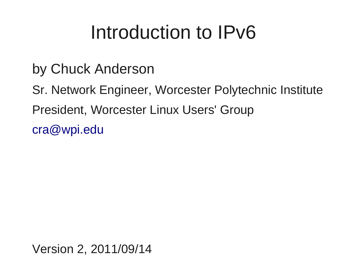#### Introduction to IPv6

- by Chuck Anderson
- Sr. Network Engineer, Worcester Polytechnic Institute President, Worcester Linux Users' Group [cra@wpi.edu](mailto:cra@wpi.edu)

Version 2, 2011/09/14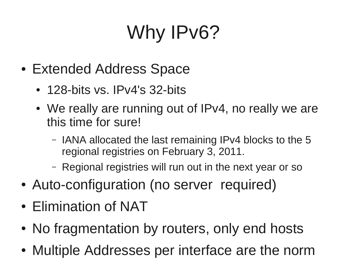# Why IPv6?

- Extended Address Space
	- 128-bits vs. IPv4's 32-bits
	- We really are running out of IPv4, no really we are this time for sure!
		- IANA allocated the last remaining IPv4 blocks to the 5 regional registries on February 3, 2011.
		- Regional registries will run out in the next year or so
- Auto-configuration (no server required)
- Elimination of NAT
- No fragmentation by routers, only end hosts
- Multiple Addresses per interface are the norm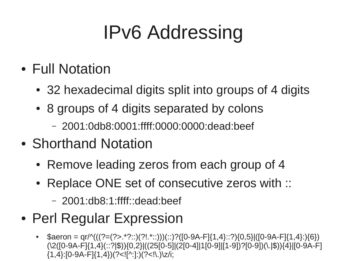## IPv6 Addressing

- Full Notation
	- 32 hexadecimal digits split into groups of 4 digits
	- 8 groups of 4 digits separated by colons
		- 2001:0db8:0001:ffff:0000:0000:dead:beef
- Shorthand Notation
	- Remove leading zeros from each group of 4
	- Replace ONE set of consecutive zeros with ::
		- 2001:db8:1:ffff::dead:beef
- Perl Regular Expression
	- \$aeron = qr/^(((?=(?>.\*?::)(?!.\*::)))(::)?([0-9A-F]{1,4}::?){0,5}|([0-9A-F]{1,4}:){6}) (\2([0-9A-F]{1,4}(::?|\$)){0,2}|((25[0-5]|(2[0-4]|1[0-9]|[1-9])?[0-9])(\.|\$)){4}|[0-9A-F]  ${1,4}$ :[0-9A-F] ${1,4}$ )(?<![^:]:)(?<!\.)\z/i;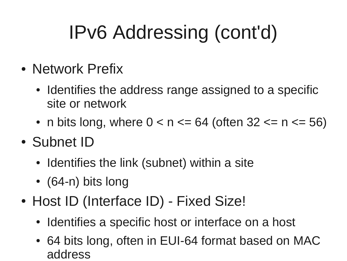## IPv6 Addressing (cont'd)

- Network Prefix
	- Identifies the address range assigned to a specific site or network
	- n bits long, where  $0 < n \le 64$  (often  $32 \le n \le 56$ )
- Subnet ID
	- Identifies the link (subnet) within a site
	- $\bullet$  (64-n) bits long
- Host ID (Interface ID) Fixed Size!
	- Identifies a specific host or interface on a host
	- 64 bits long, often in EUI-64 format based on MAC address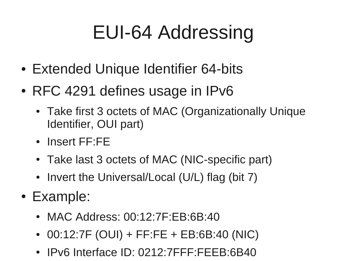## EUI-64 Addressing

- Extended Unique Identifier 64-bits
- RFC 4291 defines usage in IPv6
	- Take first 3 octets of MAC (Organizationally Unique Identifier, OUI part)
	- Insert FF:FE
	- Take last 3 octets of MAC (NIC-specific part)
	- Invert the Universal/Local (U/L) flag (bit 7)
- Example:
	- MAC Address: 00:12:7F:EB:6B:40
	- $\bullet$  00:12:7F (OUI) + FF:FE + EB:6B:40 (NIC)
	- IPv6 Interface ID: 0212:7FFF:FEEB:6B40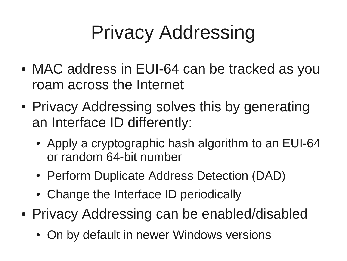## Privacy Addressing

- MAC address in EUI-64 can be tracked as you roam across the Internet
- Privacy Addressing solves this by generating an Interface ID differently:
	- Apply a cryptographic hash algorithm to an EUI-64 or random 64-bit number
	- Perform Duplicate Address Detection (DAD)
	- Change the Interface ID periodically
- Privacy Addressing can be enabled/disabled
	- On by default in newer Windows versions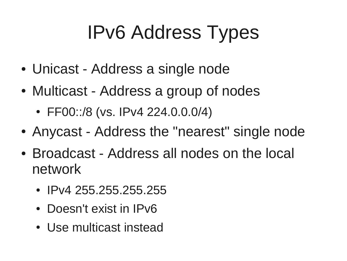## IPv6 Address Types

- Unicast Address a single node
- Multicast Address a group of nodes
	- $\cdot$  FF00::/8 (vs. IPv4 224.0.0.0/4)
- Anycast Address the "nearest" single node
- Broadcast Address all nodes on the local network
	- IPv4 255.255.255.255
	- Doesn't exist in IPv6
	- Use multicast instead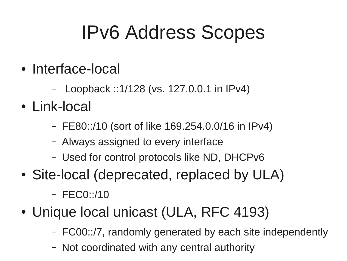### IPv6 Address Scopes

- Interface-local
	- Loopback ::1/128 (vs. 127.0.0.1 in IPv4)
- Link-local
	- FE80::/10 (sort of like 169.254.0.0/16 in IPv4)
	- Always assigned to every interface
	- Used for control protocols like ND, DHCPv6
- Site-local (deprecated, replaced by ULA)
	- FEC0::/10
- Unique local unicast (ULA, RFC 4193)
	- FC00::/7, randomly generated by each site independently
	- Not coordinated with any central authority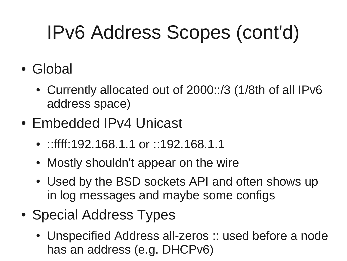## IPv6 Address Scopes (cont'd)

- Global
	- Currently allocated out of 2000::/3 (1/8th of all IPv6 address space)
- Embedded IPv4 Unicast
	- ::ffff:192.168.1.1 or ::192.168.1.1
	- Mostly shouldn't appear on the wire
	- Used by the BSD sockets API and often shows up in log messages and maybe some configs
- Special Address Types
	- Unspecified Address all-zeros :: used before a node has an address (e.g. DHCPv6)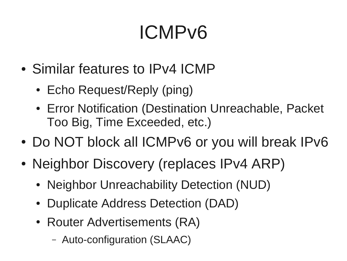## ICMPv6

- Similar features to IPv4 ICMP
	- Echo Request/Reply (ping)
	- Error Notification (Destination Unreachable, Packet Too Big, Time Exceeded, etc.)
- Do NOT block all ICMPv6 or you will break IPv6
- Neighbor Discovery (replaces IPv4 ARP)
	- Neighbor Unreachability Detection (NUD)
	- Duplicate Address Detection (DAD)
	- Router Advertisements (RA)
		- Auto-configuration (SLAAC)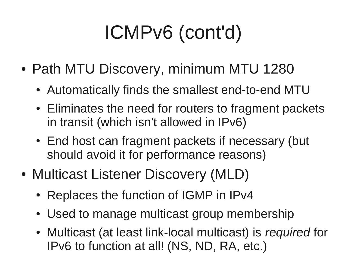# ICMPv6 (cont'd)

- Path MTU Discovery, minimum MTU 1280
	- Automatically finds the smallest end-to-end MTU
	- Eliminates the need for routers to fragment packets in transit (which isn't allowed in IPv6)
	- End host can fragment packets if necessary (but should avoid it for performance reasons)
- Multicast Listener Discovery (MLD)
	- Replaces the function of IGMP in IPv4
	- Used to manage multicast group membership
	- Multicast (at least link-local multicast) is *required* for IPv6 to function at all! (NS, ND, RA, etc.)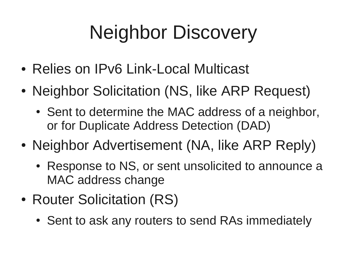## Neighbor Discovery

- Relies on IPv6 Link-Local Multicast
- Neighbor Solicitation (NS, like ARP Request)
	- Sent to determine the MAC address of a neighbor, or for Duplicate Address Detection (DAD)
- Neighbor Advertisement (NA, like ARP Reply)
	- Response to NS, or sent unsolicited to announce a MAC address change
- Router Solicitation (RS)
	- Sent to ask any routers to send RAs immediately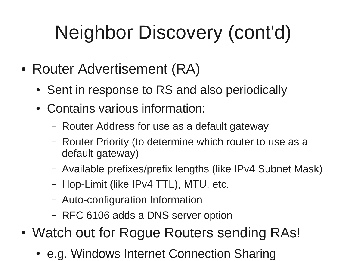# Neighbor Discovery (cont'd)

- Router Advertisement (RA)
	- Sent in response to RS and also periodically
	- Contains various information:
		- Router Address for use as a default gateway
		- Router Priority (to determine which router to use as a default gateway)
		- Available prefixes/prefix lengths (like IPv4 Subnet Mask)
		- Hop-Limit (like IPv4 TTL), MTU, etc.
		- Auto-configuration Information
		- RFC 6106 adds a DNS server option
- Watch out for Rogue Routers sending RAs!
	- e.g. Windows Internet Connection Sharing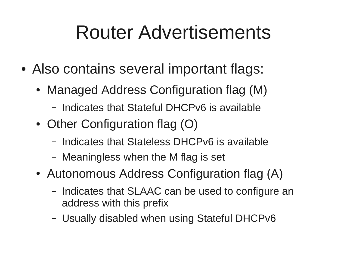#### Router Advertisements

- Also contains several important flags:
	- Managed Address Configuration flag (M)
		- Indicates that Stateful DHCPv6 is available
	- Other Configuration flag  $(O)$ 
		- Indicates that Stateless DHCPv6 is available
		- Meaningless when the M flag is set
	- Autonomous Address Configuration flag (A)
		- Indicates that SLAAC can be used to configure an address with this prefix
		- Usually disabled when using Stateful DHCPv6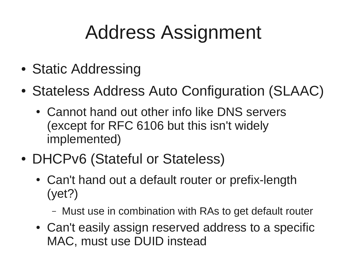### Address Assignment

- Static Addressing
- Stateless Address Auto Configuration (SLAAC)
	- Cannot hand out other info like DNS servers (except for RFC 6106 but this isn't widely implemented)
- DHCPv6 (Stateful or Stateless)
	- Can't hand out a default router or prefix-length (yet?)
		- Must use in combination with RAs to get default router
	- Can't easily assign reserved address to a specific MAC, must use DUID instead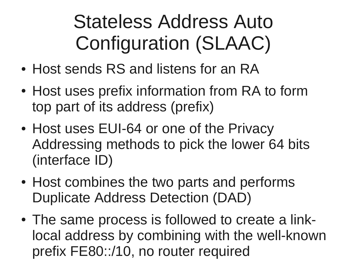### Stateless Address Auto Configuration (SLAAC)

- Host sends RS and listens for an RA
- Host uses prefix information from RA to form top part of its address (prefix)
- Host uses EUI-64 or one of the Privacy Addressing methods to pick the lower 64 bits (interface ID)
- Host combines the two parts and performs Duplicate Address Detection (DAD)
- The same process is followed to create a linklocal address by combining with the well-known prefix FE80::/10, no router required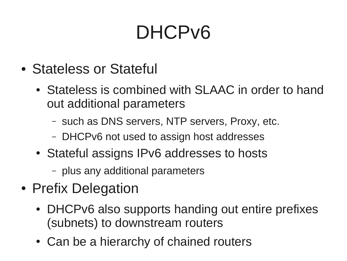### DHCPv6

- Stateless or Stateful
	- Stateless is combined with SLAAC in order to hand out additional parameters
		- such as DNS servers, NTP servers, Proxy, etc.
		- DHCPv6 not used to assign host addresses
	- Stateful assigns IPv6 addresses to hosts
		- plus any additional parameters
- Prefix Delegation
	- DHCPv6 also supports handing out entire prefixes (subnets) to downstream routers
	- Can be a hierarchy of chained routers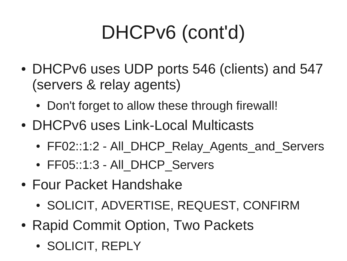# DHCPv6 (cont'd)

- DHCPv6 uses UDP ports 546 (clients) and 547 (servers & relay agents)
	- Don't forget to allow these through firewall!
- DHCPv6 uses Link-Local Multicasts
	- FF02::1:2 All\_DHCP\_Relay\_Agents\_and\_Servers
	- FF05::1:3 All DHCP Servers
- Four Packet Handshake
	- SOLICIT, ADVERTISE, REQUEST, CONFIRM
- Rapid Commit Option, Two Packets
	- SOLICIT, REPLY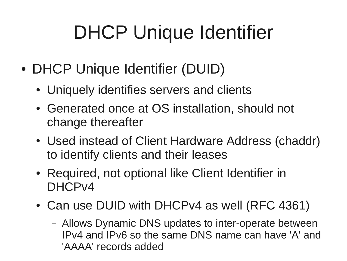## DHCP Unique Identifier

- DHCP Unique Identifier (DUID)
	- Uniquely identifies servers and clients
	- Generated once at OS installation, should not change thereafter
	- Used instead of Client Hardware Address (chaddr) to identify clients and their leases
	- Required, not optional like Client Identifier in DHCPv4
	- Can use DUID with DHCPv4 as well (RFC 4361)
		- Allows Dynamic DNS updates to inter-operate between IPv4 and IPv6 so the same DNS name can have 'A' and 'AAAA' records added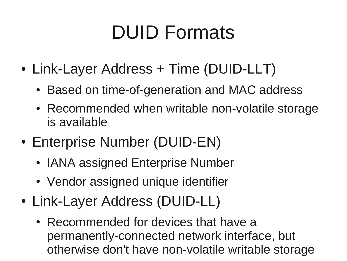### DUID Formats

- Link-Layer Address + Time (DUID-LLT)
	- Based on time-of-generation and MAC address
	- Recommended when writable non-volatile storage is available
- Enterprise Number (DUID-EN)
	- IANA assigned Enterprise Number
	- Vendor assigned unique identifier
- Link-Layer Address (DUID-LL)
	- Recommended for devices that have a permanently-connected network interface, but otherwise don't have non-volatile writable storage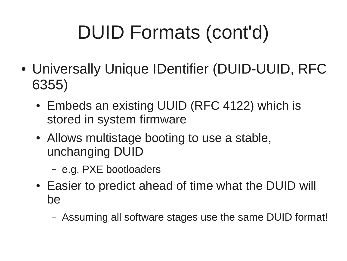# DUID Formats (cont'd)

- Universally Unique IDentifier (DUID-UUID, RFC 6355)
	- Embeds an existing UUID (RFC 4122) which is stored in system firmware
	- Allows multistage booting to use a stable, unchanging DUID
		- e.g. PXE bootloaders
	- Easier to predict ahead of time what the DUID will be
		- Assuming all software stages use the same DUID format!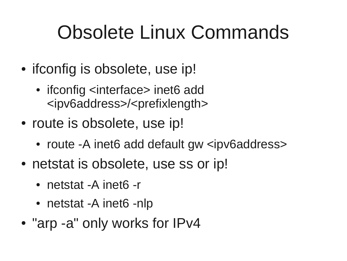### Obsolete Linux Commands

- if config is obsolete, use ip!
	- ifconfig <interface> inet6 add <ipv6address>/<prefixlength>
- route is obsolete, use ip!
	- route -A inet6 add default gw <ipv6address>
- netstat is obsolete, use ss or ip!
	- netstat -A inet6 -r
	- netstat -A inet6 -nlp
- "arp -a" only works for IPv4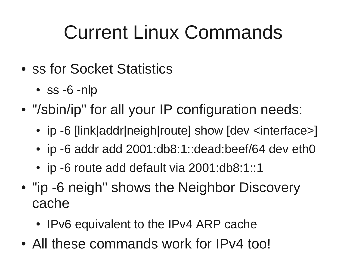### Current Linux Commands

- ss for Socket Statistics
	- $ss -6 nlp$
- "/sbin/ip" for all your IP configuration needs:
	- ip -6 [link|addr|neigh|route] show [dev <interface>]
	- ip -6 addr add 2001:db8:1::dead:beef/64 dev eth0
	- ip -6 route add default via 2001:db8:1::1
- "ip -6 neigh" shows the Neighbor Discovery cache
	- IPv6 equivalent to the IPv4 ARP cache
- All these commands work for IPv4 too!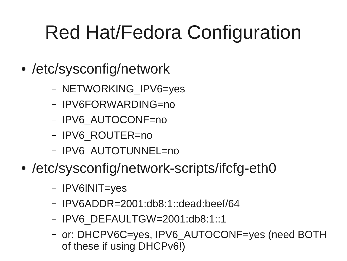## Red Hat/Fedora Configuration

- /etc/sysconfig/network
	- NETWORKING\_IPV6=yes
	- IPV6FORWARDING=no
	- IPV6\_AUTOCONF=no
	- IPV6\_ROUTER=no
	- IPV6\_AUTOTUNNEL=no
- /etc/sysconfig/network-scripts/ifcfg-eth0
	- IPV6INIT=yes
	- IPV6ADDR=2001:db8:1::dead:beef/64
	- IPV6\_DEFAULTGW=2001:db8:1::1
	- or: DHCPV6C=yes, IPV6\_AUTOCONF=yes (need BOTH of these if using DHCPv6!)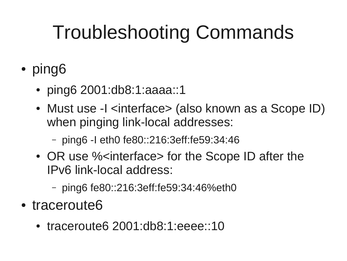## Troubleshooting Commands

- ping6
	- ping6 2001:db8:1:aaaa::1
	- Must use -I <interface> (also known as a Scope ID) when pinging link-local addresses:
		- ping6 -I eth0 fe80::216:3eff:fe59:34:46
	- OR use % interface > for the Scope ID after the IPv6 link-local address:
		- ping6 fe80::216:3eff:fe59:34:46%eth0
- traceroute6
	- traceroute6 2001:db8:1:eeee::10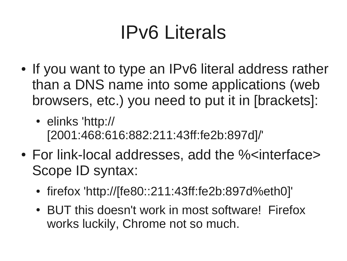### IPv6 Literals

- If you want to type an IPv6 literal address rather than a DNS name into some applications (web browsers, etc.) you need to put it in [brackets]:
	- elinks 'http:// [2001:468:616:882:211:43ff:fe2b:897d]/'
- For link-local addresses, add the % interface > Scope ID syntax:
	- firefox 'http://[fe80::211:43ff:fe2b:897d%eth0]'
	- BUT this doesn't work in most software! Firefox works luckily, Chrome not so much.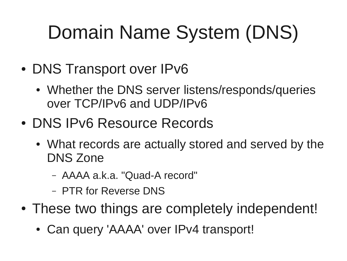## Domain Name System (DNS)

- DNS Transport over IPv6
	- Whether the DNS server listens/responds/queries over TCP/IPv6 and UDP/IPv6
- DNS IPv6 Resource Records
	- What records are actually stored and served by the DNS Zone
		- AAAA a.k.a. "Quad-A record"
		- PTR for Reverse DNS
- These two things are completely independent!
	- Can query 'AAAA' over IPv4 transport!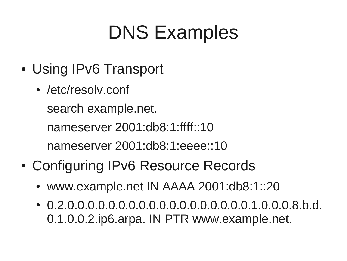### DNS Examples

- Using IPv6 Transport
	- /etc/resoly.conf search example.net. nameserver 2001:db8:1:ffff::10 nameserver 2001:db8:1:eeee::10
- Configuring IPv6 Resource Records
	- www.example.net IN AAAA 2001:db8:1::20
	- 0.2.0.0.0.0.0.0.0.0.0.0.0.0.0.0.0.0.0.0.1.0.0.0.8.b.d. 0.1.0.0.2.ip6.arpa. IN PTR www.example.net.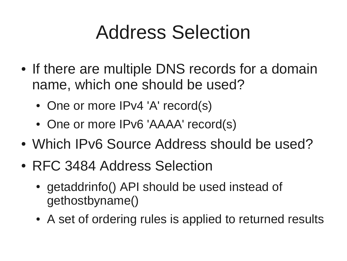#### Address Selection

- If there are multiple DNS records for a domain name, which one should be used?
	- One or more IPv4 'A' record(s)
	- One or more IPv6 'AAAA' record(s)
- Which IPv6 Source Address should be used?
- RFC 3484 Address Selection
	- getaddrinfo() API should be used instead of gethostbyname()
	- A set of ordering rules is applied to returned results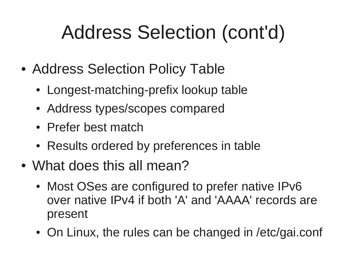## Address Selection (cont'd)

- Address Selection Policy Table
	- Longest-matching-prefix lookup table
	- Address types/scopes compared
	- Prefer best match
	- Results ordered by preferences in table
- What does this all mean?
	- Most OSes are configured to prefer native IPv6 over native IPv4 if both 'A' and 'AAAA' records are present
	- On Linux, the rules can be changed in /etc/gai.conf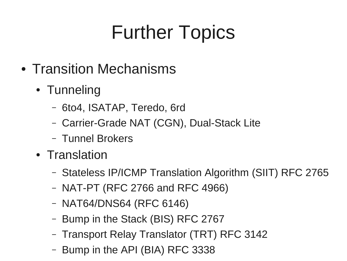## Further Topics

- Transition Mechanisms
	- Tunneling
		- 6to4, ISATAP, Teredo, 6rd
		- Carrier-Grade NAT (CGN), Dual-Stack Lite
		- Tunnel Brokers
	- Translation
		- Stateless IP/ICMP Translation Algorithm (SIIT) RFC 2765
		- NAT-PT (RFC 2766 and RFC 4966)
		- NAT64/DNS64 (RFC 6146)
		- Bump in the Stack (BIS) RFC 2767
		- Transport Relay Translator (TRT) RFC 3142
		- Bump in the API (BIA) RFC 3338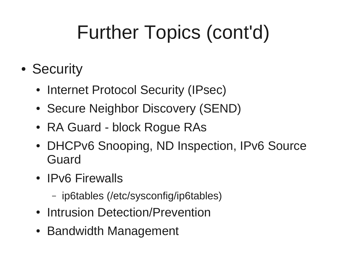# Further Topics (cont'd)

- Security
	- Internet Protocol Security (IPsec)
	- Secure Neighbor Discovery (SEND)
	- RA Guard block Rogue RAs
	- DHCPv6 Snooping, ND Inspection, IPv6 Source Guard
	- IPv6 Firewalls
		- ip6tables (/etc/sysconfig/ip6tables)
	- Intrusion Detection/Prevention
	- Bandwidth Management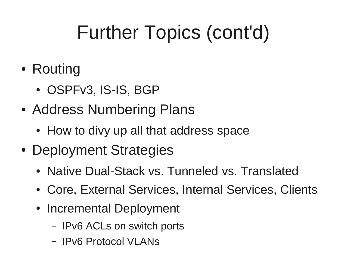# Further Topics (cont'd)

- Routing
	- OSPFv3, IS-IS, BGP
- Address Numbering Plans
	- How to divy up all that address space
- Deployment Strategies
	- Native Dual-Stack vs. Tunneled vs. Translated
	- Core, External Services, Internal Services, Clients
	- Incremental Deployment
		- IPv6 ACLs on switch ports
		- IPv6 Protocol VLANs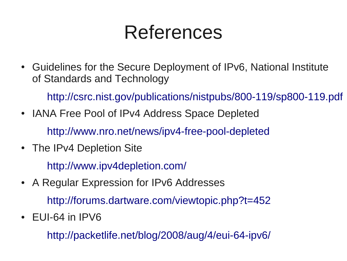#### References

• Guidelines for the Secure Deployment of IPv6, National Institute of Standards and Technology

<http://csrc.nist.gov/publications/nistpubs/800-119/sp800-119.pdf>

- IANA Free Pool of IPv4 Address Space Depleted <http://www.nro.net/news/ipv4-free-pool-depleted>
- The IPv4 Depletion Site

<http://www.ipv4depletion.com/>

• A Regular Expression for IPv6 Addresses

<http://forums.dartware.com/viewtopic.php?t=452>

 $\cdot$  EUI-64 in IPV6

<http://packetlife.net/blog/2008/aug/4/eui-64-ipv6/>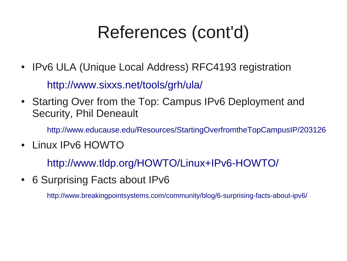#### References (cont'd)

- IPv6 ULA (Unique Local Address) RFC4193 registration <http://www.sixxs.net/tools/grh/ula/>
- Starting Over from the Top: Campus IPv6 Deployment and Security, Phil Deneault

<http://www.educause.edu/Resources/StartingOverfromtheTopCampusIP/203126>

• Linux IPv6 HOWTO

<http://www.tldp.org/HOWTO/Linux+IPv6-HOWTO/>

• 6 Surprising Facts about IPv6

<http://www.breakingpointsystems.com/community/blog/6-surprising-facts-about-ipv6/>